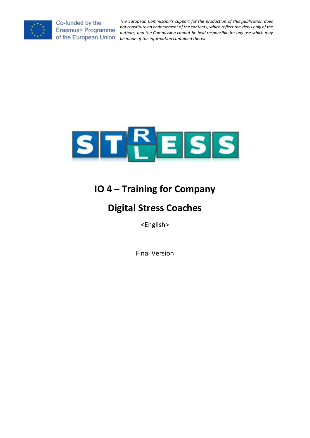

*The European Commission's support for the production of this publication does not constitute an endorsement of the contents, which reflect the views only of the authors, and the Commission cannot be held responsible for any use which may*  of the European Union *be made of the information contained therein.* 



# **IO 4 – Training for Company**

# **Digital Stress Coaches**

<English>

Final Version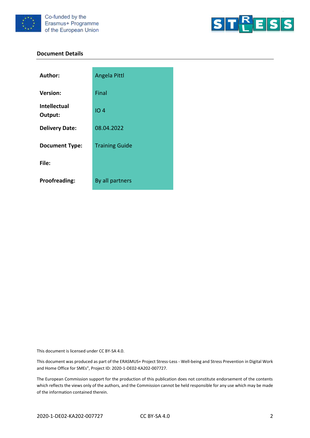



#### **Document Details**

| Author:                 | Angela Pittl          |
|-------------------------|-----------------------|
| <b>Version:</b>         | Final                 |
| Intellectual<br>Output: | IO <sub>4</sub>       |
| <b>Delivery Date:</b>   | 08.04.2022            |
| <b>Document Type:</b>   | <b>Training Guide</b> |
| File:                   |                       |
| <b>Proofreading:</b>    | By all partners       |

This document is licensed under CC BY-SA 4.0.

This document was produced as part of the ERASMUS+ Project Stress-Less - Well-being and Stress Prevention in Digital Work and Home Office for SMEs", Project ID: 2020-1-DE02-KA202-007727.

The European Commission support for the production of this publication does not constitute endorsement of the contents which reflects the views only of the authors, and the Commission cannot be held responsible for any use which may be made of the information contained therein.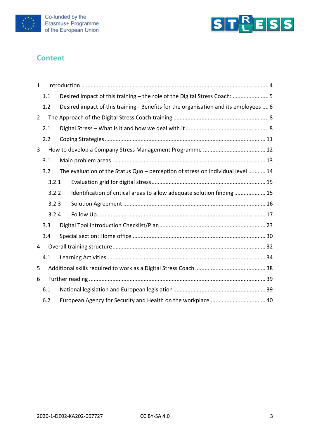



# **Content**

| 1.             |     |       |                                                                                      |  |
|----------------|-----|-------|--------------------------------------------------------------------------------------|--|
|                | 1.1 |       | Desired impact of this training - the role of the Digital Stress Coach:  5           |  |
|                | 1.2 |       | Desired impact of this training - Benefits for the organisation and its employees  6 |  |
| $\overline{2}$ |     |       |                                                                                      |  |
|                | 2.1 |       |                                                                                      |  |
|                | 2.2 |       |                                                                                      |  |
| 3              |     |       |                                                                                      |  |
|                | 3.1 |       |                                                                                      |  |
|                | 3.2 |       | The evaluation of the Status Quo - perception of stress on individual level  14      |  |
|                |     | 3.2.1 |                                                                                      |  |
|                |     | 3.2.2 | Identification of critical areas to allow adequate solution finding 15               |  |
|                |     | 3.2.3 |                                                                                      |  |
|                |     | 3.2.4 |                                                                                      |  |
|                | 3.3 |       |                                                                                      |  |
|                | 3.4 |       |                                                                                      |  |
| 4              |     |       |                                                                                      |  |
|                | 4.1 |       |                                                                                      |  |
| 5              |     |       |                                                                                      |  |
| 6              |     |       |                                                                                      |  |
|                | 6.1 |       |                                                                                      |  |
|                | 6.2 |       | European Agency for Security and Health on the workplace  40                         |  |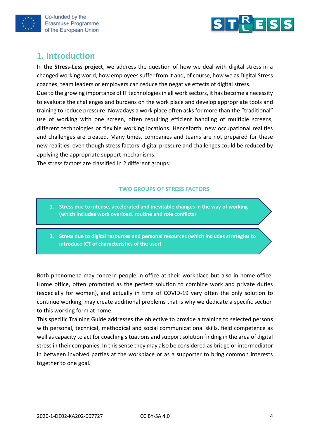



# <span id="page-3-0"></span>**1. Introduction**

In **the Stress-Less project**, we address the question of how we deal with digital stress in a changed working world, how employees suffer from it and, of course, how we as Digital Stress coaches, team leaders or employers can reduce the negative effects of digital stress.

Due to the growing importance of IT technologies in all work sectors, it has become a necessity to evaluate the challenges and burdens on the work place and develop appropriate tools and training to reduce pressure. Nowadays a work place often asks for more than the "traditional" use of working with one screen, often requiring efficient handling of multiple screens, different technologies or flexible working locations. Henceforth, new occupational realities and challenges are created. Many times, companies and teams are not prepared for these new realities, even though stress factors, digital pressure and challenges could be reduced by applying the appropriate support mechanisms.

The stress factors are classified in 2 different groups:

#### **TWO GROUPS OF STRESS FACTORS**

- 1. **Stress due to intense, accelerated and inevitable changes in the way of working (which includes work overload, routine and role conflicts**)
- **2. Stress due to digital resources and personal resources (which includes strategies to introduce ICT of characteristics of the user)**

Both phenomena may concern people in office at their workplace but also in home office. Home office, often promoted as the perfect solution to combine work and private duties (especially for women), and actually in time of COVID-19 very often the only solution to continue working, may create additional problems that is why we dedicate a specific section to this working form at home.

This specific Training Guide addresses the objective to provide a training to selected persons with personal, technical, methodical and social communicational skills, field competence as well as capacity to act for coaching situations and support solution finding in the area of digital stress in their companies. In this sense they may also be considered as bridge or intermediator in between involved parties at the workplace or as a supporter to bring common interests together to one goal.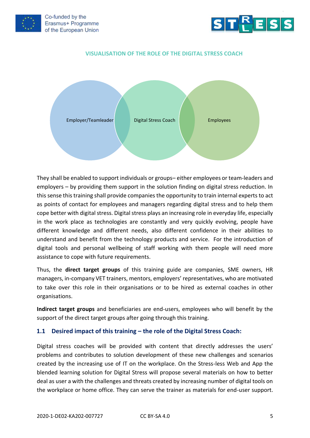



#### **VISUALISATION OF THE ROLE OF THE DIGITAL STRESS COACH**



They shall be enabled to support individuals or groups– either employees or team-leaders and employers – by providing them support in the solution finding on digital stress reduction. In this sense this training shall provide companies the opportunity to train internal experts to act as points of contact for employees and managers regarding digital stress and to help them cope better with digital stress. Digital stress plays an increasing role in everyday life, especially in the work place as technologies are constantly and very quickly evolving, people have different knowledge and different needs, also different confidence in their abilities to understand and benefit from the technology products and service. For the introduction of digital tools and personal wellbeing of staff working with them people will need more assistance to cope with future requirements.

Thus, the **direct target groups** of this training guide are companies, SME owners, HR managers, in-company VET trainers, mentors, employers' representatives, who are motivated to take over this role in their organisations or to be hired as external coaches in other organisations.

**Indirect target groups** and beneficiaries are end-users, employees who will benefit by the support of the direct target groups after going through this training.

#### <span id="page-4-0"></span>**1.1 Desired impact of this training – the role of the Digital Stress Coach:**

Digital stress coaches will be provided with content that directly addresses the users' problems and contributes to solution development of these new challenges and scenarios created by the increasing use of IT on the workplace. On the Stress-less Web and App the blended learning solution for Digital Stress will propose several materials on how to better deal as user a with the challenges and threats created by increasing number of digital tools on the workplace or home office. They can serve the trainer as materials for end-user support.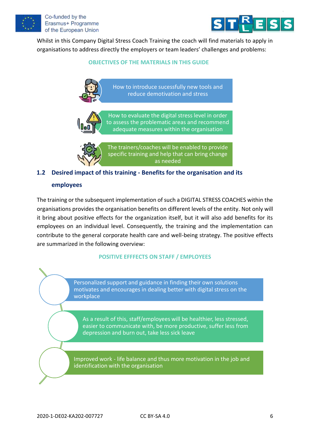



Whilst in this Company Digital Stress Coach Training the coach will find materials to apply in organisations to address directly the employers or team leaders' challenges and problems:

#### **OBJECTIVES OF THE MATERIALS IN THIS GUIDE**

How to introduce sucessfully new tools and reduce demotivation and stress



How to evaluate the digital stress level in order to assess the problematic areas and recommend adequate measures within the organisation

The trainers/coaches will be enabled to provide specific training and help that can bring change as needed

# <span id="page-5-0"></span>**1.2 Desired impact of this training - Benefits for the organisation and its**

#### **employees**

The training or the subsequent implementation of such a DIGITAL STRESS COACHES within the organisations provides the organisation benefits on different levels of the entity. Not only will it bring about positive effects for the organization itself, but it will also add benefits for its employees on an individual level. Consequently, the training and the implementation can contribute to the general corporate health care and well-being strategy. The positive effects are summarized in the following overview:

#### **POSITIVE EFFFECTS ON STAFF / EMPLOYEES**

Personalized support and guidance in finding their own solutions motivates and encourages in dealing better with digital stress on the workplace

As a result of this, staff/employees will be healthier, less stressed, easier to communicate with, be more productive, suffer less from depression and burn out, take less sick leave

Improved work - life balance and thus more motivation in the job and identification with the organisation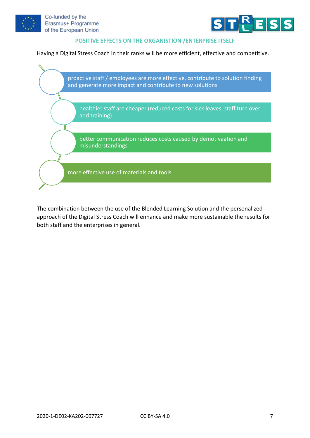



#### **POSITIVE EFFECTS ON THE ORGANISTION /ENTERPRISE ITSELF**

Having a Digital Stress Coach in their ranks will be more efficient, effective and competitive.



The combination between the use of the Blended Learning Solution and the personalized approach of the Digital Stress Coach will enhance and make more sustainable the results for both staff and the enterprises in general.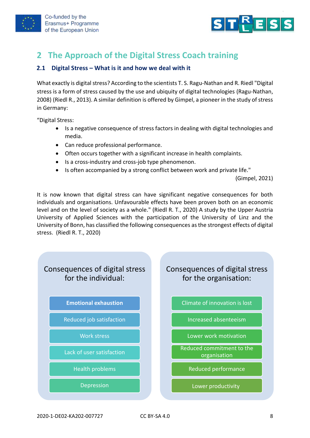

# <span id="page-7-0"></span>**2 The Approach of the Digital Stress Coach training**

#### <span id="page-7-1"></span>**2.1 Digital Stress – What is it and how we deal with it**

What exactly is digital stress? According to the scientists T. S. Ragu-Nathan and R. Riedl "Digital stress is a form of stress caused by the use and ubiquity of digital technologies (Ragu-Nathan, 2008) (Riedl R., 2013). A similar definition is offered by Gimpel, a pioneer in the study of stress in Germany:

"Digital Stress:

- Is a negative consequence of stress factors in dealing with digital technologies and media.
- Can reduce professional performance.
- Often occurs together with a significant increase in health complaints.
- Is a cross-industry and cross-job type phenomenon.
- Is often accompanied by a strong conflict between work and private life."

(Gimpel, 2021)

It is now known that digital stress can have significant negative consequences for both individuals and organisations. Unfavourable effects have been proven both on an economic level and on the level of society as a whole." (Riedl R. T., 2020) А study by the Upper Austria University of Applied Sciences with the participation of the University of Linz and the University of Bonn, has classified the following consequences as the strongest effects of digital stress. (Riedl R. T., 2020)

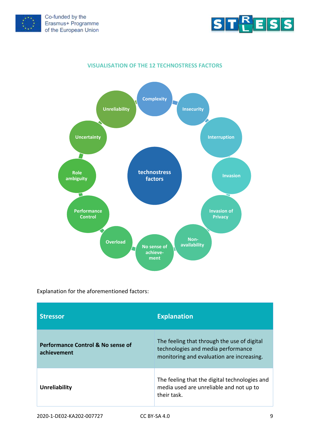



#### **VISUALISATION OF THE 12 TECHNOSTRESS FACTORS**



Explanation for the aforementioned factors:

| <b>Stressor</b>                                             | <b>Explanation</b>                                                                                                             |
|-------------------------------------------------------------|--------------------------------------------------------------------------------------------------------------------------------|
| <b>Performance Control &amp; No sense of</b><br>achievement | The feeling that through the use of digital<br>technologies and media performance<br>monitoring and evaluation are increasing. |
| <b>Unreliability</b>                                        | The feeling that the digital technologies and<br>media used are unreliable and not up to<br>their task.                        |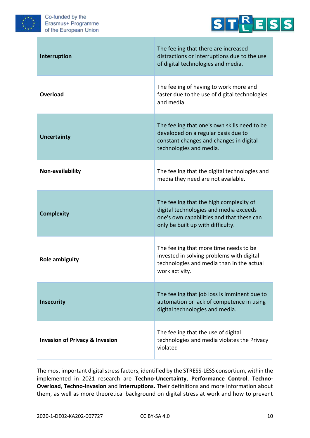



| Interruption                              | The feeling that there are increased<br>distractions or interruptions due to the use<br>of digital technologies and media.                                          |
|-------------------------------------------|---------------------------------------------------------------------------------------------------------------------------------------------------------------------|
| Overload                                  | The feeling of having to work more and<br>faster due to the use of digital technologies<br>and media.                                                               |
| <b>Uncertainty</b>                        | The feeling that one's own skills need to be<br>developed on a regular basis due to<br>constant changes and changes in digital<br>technologies and media.           |
| Non-availability                          | The feeling that the digital technologies and<br>media they need are not available.                                                                                 |
| <b>Complexity</b>                         | The feeling that the high complexity of<br>digital technologies and media exceeds<br>one's own capabilities and that these can<br>only be built up with difficulty. |
| <b>Role ambiguity</b>                     | The feeling that more time needs to be<br>invested in solving problems with digital<br>technologies and media than in the actual<br>work activity.                  |
| <b>Insecurity</b>                         | The feeling that job loss is imminent due to<br>automation or lack of competence in using<br>digital technologies and media.                                        |
| <b>Invasion of Privacy &amp; Invasion</b> | The feeling that the use of digital<br>technologies and media violates the Privacy<br>violated                                                                      |

The most important digital stress factors, identified by the STRESS-LESS consortium, within the implemented in 2021 research are **Techno-Uncertainty**, **Performance Control**, **Techno-Overload**, **Techno-Invasion** and **Interruptions.** Their definitions and more information about them, as well as more theoretical background on digital stress at work and how to prevent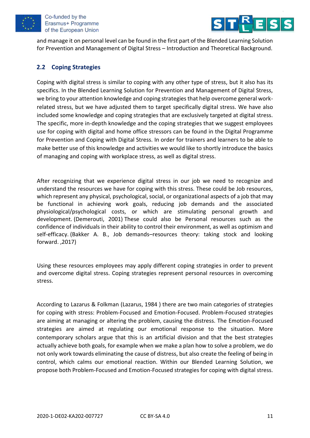



and manage it on personal level can be found in the first part of the Blended Learning Solution for Prevention and Management of Digital Stress – Introduction and Theoretical Background.

## <span id="page-10-0"></span>**2.2 Coping Strategies**

Coping with digital stress is similar to coping with any other type of stress, but it also has its specifics. In the Blended Learning Solution for Prevention and Management of Digital Stress, we bring to your attention knowledge and coping strategies that help overcome general workrelated stress, but we have adjusted them to target specifically digital stress. We have also included some knowledge and coping strategies that are exclusively targeted at digital stress. The specific, more in-depth knowledge and the coping strategies that we suggest employees use for coping with digital and home office stressors can be found in the Digital Programme for Prevention and Coping with Digital Stress. In order for trainers and learners to be able to make better use of this knowledge and activities we would like to shortly introduce the basics of managing and coping with workplace stress, as well as digital stress.

After recognizing that we experience digital stress in our job we need to recognize and understand the resources we have for coping with this stress. These could be Job resources, which represent any physical, psychological, social, or organizational aspects of a job that may be functional in achieving work goals, reducing job demands and the associated physiological/psychological costs, or which are stimulating personal growth and development. (Demerouti, 2001) These could also be Personal resources such as the confidence of individuals in their ability to control their environment, as well as optimism and self-efficacy. (Bakker A. B., Job demands–resources theory: taking stock and looking forward. ,2017)

Using these resources employees may apply different coping strategies in order to prevent and overcome digital stress. Coping strategies represent personal resources in overcoming stress.

According to Lazarus & Folkman (Lazarus, 1984 ) there are two main categories of strategies for coping with stress: Problem-Focused and Emotion-Focused. Problem-Focused strategies are aiming at managing or altering the problem, causing the distress. The Emotion-Focused strategies are aimed at regulating our emotional response to the situation. More contemporary scholars argue that this is an artificial division and that the best strategies actually achieve both goals, for example when we make a plan how to solve a problem, we do not only work towards eliminating the cause of distress, but also create the feeling of being in control, which calms our emotional reaction. Within our Blended Learning Solution, we propose both Problem-Focused and Emotion-Focused strategies for coping with digital stress.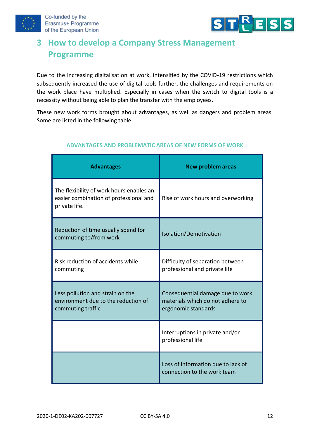



# <span id="page-11-0"></span>**3 How to develop a Company Stress Management Programme**

Due to the increasing digitalisation at work, intensified by the COVID-19 restrictions which subsequently increased the use of digital tools further, the challenges and requirements on the work place have multiplied. Especially in cases when the switch to digital tools is a necessity without being able to plan the transfer with the employees.

These new work forms brought about advantages, as well as dangers and problem areas. Some are listed in the following table:

| <b>Advantages</b>                                                                                   | <b>New problem areas</b>                                                                    |
|-----------------------------------------------------------------------------------------------------|---------------------------------------------------------------------------------------------|
| The flexibility of work hours enables an<br>easier combination of professional and<br>private life. | Rise of work hours and overworking                                                          |
| Reduction of time usually spend for<br>commuting to/from work                                       | Isolation/Demotivation                                                                      |
| Risk reduction of accidents while<br>commuting                                                      | Difficulty of separation between<br>professional and private life                           |
| Less pollution and strain on the<br>environment due to the reduction of<br>commuting traffic        | Consequential damage due to work<br>materials which do not adhere to<br>ergonomic standards |
|                                                                                                     | Interruptions in private and/or<br>professional life                                        |
|                                                                                                     | Loss of information due to lack of<br>connection to the work team                           |

#### **ADVANTAGES AND PROBLEMATIC AREAS OF NEW FORMS OF WORK**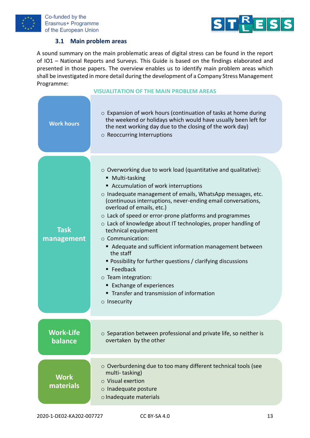



#### **3.1 Main problem areas**

<span id="page-12-0"></span>A sound summary on the main problematic areas of digital stress can be found in the report of IO1 – National Reports and Surveys. This Guide is based on the findings elaborated and presented in those papers. The overview enables us to identify main problem areas which shall be investigated in more detail during the development of a Company Stress Management Programme:

#### **VISUALITATION OF THE MAIN PROBLEM AREAS**

| <b>Work hours</b>         | $\circ$ Expansion of work hours (continuation of tasks at home during<br>the weekend or holidays which would have usually been left for<br>the next working day due to the closing of the work day)<br>$\circ$ Reoccurring Interruptions                                                                                                                                                                                                                                                                                                                                                                                                                                                                                                           |
|---------------------------|----------------------------------------------------------------------------------------------------------------------------------------------------------------------------------------------------------------------------------------------------------------------------------------------------------------------------------------------------------------------------------------------------------------------------------------------------------------------------------------------------------------------------------------------------------------------------------------------------------------------------------------------------------------------------------------------------------------------------------------------------|
| <b>Task</b><br>management | $\circ$ Overworking due to work load (quantitative and qualitative):<br>■ Multi-tasking<br>■ Accumulation of work interruptions<br>o Inadequate management of emails, WhatsApp messages, etc.<br>(continuous interruptions, never-ending email conversations,<br>overload of emails, etc.)<br>o Lack of speed or error-prone platforms and programmes<br>o Lack of knowledge about IT technologies, proper handling of<br>technical equipment<br>○ Communication:<br>Adequate and sufficient information management between<br>the staff<br>• Possibility for further questions / clarifying discussions<br>■ Feedback<br>$\circ$ Team integration:<br>■ Exchange of experiences<br>Transfer and transmission of information<br>$\circ$ Insecurity |
| Work-Life<br>balance      | o Separation between professional and private life, so neither is<br>overtaken by the other                                                                                                                                                                                                                                                                                                                                                                                                                                                                                                                                                                                                                                                        |
| <b>Work</b><br>materials  | o Overburdening due to too many different technical tools (see<br>multi-tasking)<br>$\circ$ Visual exertion<br>o Inadequate posture<br>o Inadequate materials                                                                                                                                                                                                                                                                                                                                                                                                                                                                                                                                                                                      |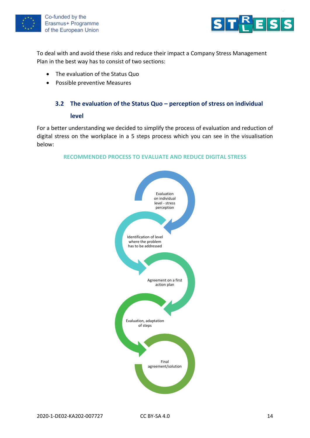



To deal with and avoid these risks and reduce their impact a Company Stress Management Plan in the best way has to consist of two sections:

- The evaluation of the Status Quo
- Possible preventive Measures

### <span id="page-13-0"></span>**3.2 The evaluation of the Status Quo – perception of stress on individual**

#### **level**

For a better understanding we decided to simplify the process of evaluation and reduction of digital stress on the workplace in a 5 steps process which you can see in the visualisation below:

#### **RECOMMENDED PROCESS TO EVALUATE AND REDUCE DIGITAL STRESS**

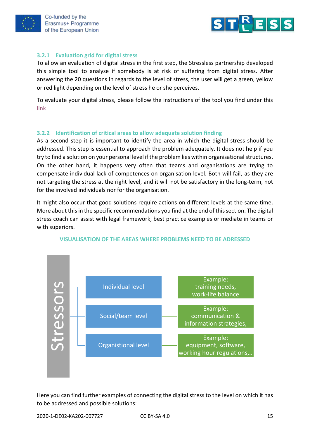



#### <span id="page-14-0"></span>**3.2.1 Evaluation grid for digital stress**

To allow an evaluation of digital stress in the first step, the Stressless partnership developed this simple tool to analyse if somebody is at risk of suffering from digital stress. After answering the 20 questions in regards to the level of stress, the user will get a green, yellow or red light depending on the level of stress he or she perceives.

To evaluate your digital stress, please follow the instructions of the tool you find under this [link](https://www.stress-less-project.eu/tests/smt/)

#### <span id="page-14-1"></span>**3.2.2 Identification of critical areas to allow adequate solution finding**

As a second step it is important to identify the area in which the digital stress should be addressed. This step is essential to approach the problem adequately. It does not help if you try to find a solution on your personal level if the problem lies within organisational structures. On the other hand, it happens very often that teams and organisations are trying to compensate individual lack of competences on organisation level. Both will fail, as they are not targeting the stress at the right level, and it will not be satisfactory in the long-term, not for the involved individuals nor for the organisation.

It might also occur that good solutions require actions on different levels at the same time. More about this in the specific recommendations you find at the end of this section. The digital stress coach can assist with legal framework, best practice examples or mediate in teams or with superiors.



#### **VISUALISATION OF THE AREAS WHERE PROBLEMS NEED TO BE ADRESSED**

Here you can find further examples of connecting the digital stress to the level on which it has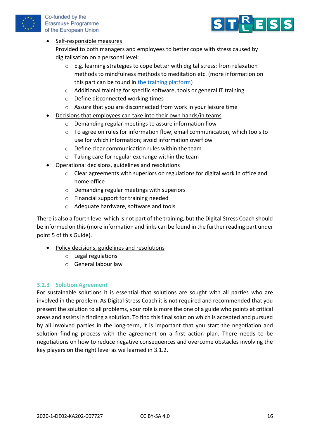



### • Self-responsible measures

Provided to both managers and employees to better cope with stress caused by digitalisation on a personal level:

- o E.g. learning strategies to cope better with digital stress: from relaxation methods to mindfulness methods to meditation etc. (more information on this part can be found in [the training platform\)](https://www.stress-less-project.eu/training-platform)
- o Additional training for specific software, tools or general IT training
- o Define disconnected working times
- o Assure that you are disconnected from work in your leisure time
- Decisions that employees can take into their own hands/in teams
	- o Demanding regular meetings to assure information flow
	- $\circ$  To agree on rules for information flow, email communication, which tools to use for which information; avoid information overflow
	- o Define clear communication rules within the team
	- o Taking care for regular exchange within the team
- Operational decisions, guidelines and resolutions
	- o Clear agreements with superiors on regulations for digital work in office and home office
	- o Demanding regular meetings with superiors
	- o Financial support for training needed
	- o Adequate hardware, software and tools

There is also a fourth level which is not part of the training, but the Digital Stress Coach should be informed on this (more information and links can be found in the further reading part under point 5 of this Guide).

- Policy decisions, guidelines and resolutions
	- o Legal regulations
	- o General labour law

#### <span id="page-15-0"></span>**3.2.3 Solution Agreement**

For sustainable solutions it is essential that solutions are sought with all parties who are involved in the problem. As Digital Stress Coach it is not required and recommended that you present the solution to all problems, your role is more the one of a guide who points at critical areas and assists in finding a solution. To find this final solution which is accepted and pursued by all involved parties in the long-term, it is important that you start the negotiation and solution finding process with the agreement on a first action plan. There needs to be negotiations on how to reduce negative consequences and overcome obstacles involving the key players on the right level as we learned in 3.1.2.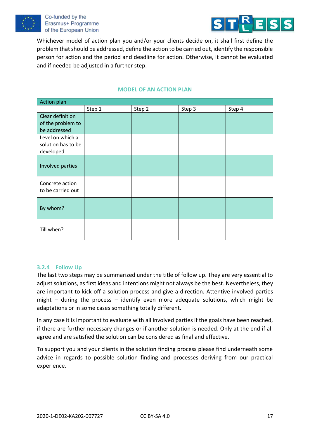



Whichever model of action plan you and/or your clients decide on, it shall first define the problem that should be addressed, define the action to be carried out, identify the responsible person for action and the period and deadline for action. Otherwise, it cannot be evaluated and if needed be adjusted in a further step.

#### **MODEL OF AN ACTION PLAN**

| <b>Action plan</b>                                    |        |        |        |        |
|-------------------------------------------------------|--------|--------|--------|--------|
|                                                       | Step 1 | Step 2 | Step 3 | Step 4 |
| Clear definition<br>of the problem to<br>be addressed |        |        |        |        |
| Level on which a<br>solution has to be<br>developed   |        |        |        |        |
| Involved parties                                      |        |        |        |        |
| Concrete action<br>to be carried out                  |        |        |        |        |
| By whom?                                              |        |        |        |        |
| Till when?                                            |        |        |        |        |

#### <span id="page-16-0"></span>**3.2.4 Follow Up**

The last two steps may be summarized under the title of follow up. They are very essential to adjust solutions, as first ideas and intentions might not always be the best. Nevertheless, they are important to kick off a solution process and give a direction. Attentive involved parties might – during the process – identify even more adequate solutions, which might be adaptations or in some cases something totally different.

In any case it is important to evaluate with all involved parties if the goals have been reached, if there are further necessary changes or if another solution is needed. Only at the end if all agree and are satisfied the solution can be considered as final and effective.

To support you and your clients in the solution finding process please find underneath some advice in regards to possible solution finding and processes deriving from our practical experience.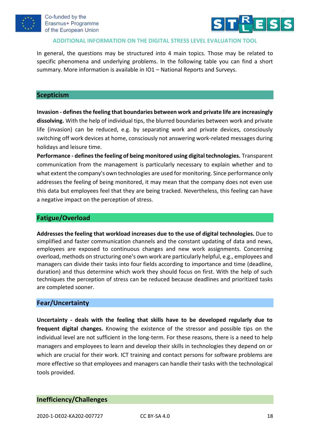



#### **ADDITIONAL INFORMATION ON THE DIGITAL STRESS LEVEL EVALUATION TOOL**

In general, the questions may be structured into 4 main topics. Those may be related to specific phenomena and underlying problems. In the following table you can find a short summary. More information is available in IO1 – National Reports and Surveys.

#### **Scepticism**

**Invasion - defines the feeling that boundaries between work and private life are increasingly dissolving.** With the help of individual tips, the blurred boundaries between work and private life (invasion) can be reduced, e.g. by separating work and private devices, consciously switching off work devices at home, consciously not answering work-related messages during holidays and leisure time.

**Performance - defines the feeling of being monitored using digital technologies.** Transparent communication from the management is particularly necessary to explain whether and to what extent the company's own technologies are used for monitoring. Since performance only addresses the feeling of being monitored, it may mean that the company does not even use this data but employees feel that they are being tracked. Nevertheless, this feeling can have a negative impact on the perception of stress.

#### **Fatigue/Overload**

**Addresses the feeling that workload increases due to the use of digital technologies.** Due to simplified and faster communication channels and the constant updating of data and news, employees are exposed to continuous changes and new work assignments. Concerning overload, methods on structuring one's own work are particularly helpful, e.g., employees and managers can divide their tasks into four fields according to importance and time (deadline, duration) and thus determine which work they should focus on first. With the help of such techniques the perception of stress can be reduced because deadlines and prioritized tasks are completed sooner.

#### **Fear/Uncertainty**

**Uncertainty - deals with the feeling that skills have to be developed regularly due to frequent digital changes.** Knowing the existence of the stressor and possible tips on the individual level are not sufficient in the long-term. For these reasons, there is a need to help managers and employees to learn and develop their skills in technologies they depend on or which are crucial for their work. ICT training and contact persons for software problems are more effective so that employees and managers can handle their tasks with the technological tools provided.

#### **Inefficiency/Challenges**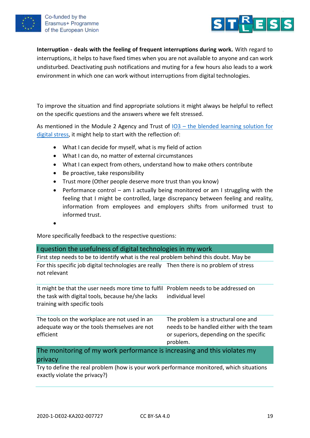



**Interruption - deals with the feeling of frequent interruptions during work.** With regard to interruptions, it helps to have fixed times when you are not available to anyone and can work undisturbed. Deactivating push notifications and muting for a few hours also leads to a work environment in which one can work without interruptions from digital technologies.

To improve the situation and find appropriate solutions it might always be helpful to reflect on the specific questions and the answers where we felt stressed.

As mentioned in the Module 2 Agency and Trust of IO3 – [the blended learning solution for](https://platform.stress-less-project.eu/)  [digital stress,](https://platform.stress-less-project.eu/) it might help to start with the reflection of:

- What I can decide for myself, what is my field of action
- What I can do, no matter of external circumstances
- What I can expect from others, understand how to make others contribute
- Be proactive, take responsibility
- Trust more (Other people deserve more trust than you know)
- Performance control am I actually being monitored or am I struggling with the feeling that I might be controlled, large discrepancy between feeling and reality, information from employees and employers shifts from uniformed trust to informed trust.
- •

More specifically feedback to the respective questions:

#### I question the usefulness of digital technologies in my work

First step needs to be to identify what is the real problem behind this doubt. May be For this specific job digital technologies are really Then there is no problem of stress not relevant

It might be that the user needs more time to fulfil Problem needs to be addressed on the task with digital tools, because he/she lacks training with specific tools individual level

| The tools on the workplace are not used in an | The problem is a structural one and      |
|-----------------------------------------------|------------------------------------------|
| adequate way or the tools themselves are not  | needs to be handled either with the team |
| efficient                                     | or superiors, depending on the specific  |
|                                               | problem.                                 |

The monitoring of my work performance is increasing and this violates my privacy

Try to define the real problem (how is your work performance monitored, which situations exactly violate the privacy?)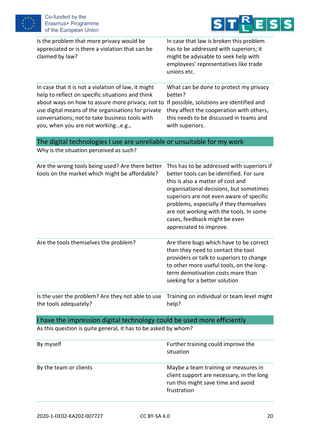



| Is the problem that more privacy would be<br>appreciated or is there a violation that can be<br>claimed by law?                                                                                                                                                                                           | In case that law is broken this problem<br>has to be addressed with superiors; it<br>might be advisable to seek help with<br>employees' representatives like trade<br>unions etc.                                                                                                                                                                                    |
|-----------------------------------------------------------------------------------------------------------------------------------------------------------------------------------------------------------------------------------------------------------------------------------------------------------|----------------------------------------------------------------------------------------------------------------------------------------------------------------------------------------------------------------------------------------------------------------------------------------------------------------------------------------------------------------------|
| In case that it is not a violation of law, it might<br>help to reflect on specific situations and think<br>about ways on how to assure more privacy, not to<br>use digital means of the organisations for private<br>conversations; not to take business tools with<br>you, when you are not workinge.g., | What can be done to protect my privacy<br>better?<br>If possible, solutions are identified and<br>they affect the cooperation with others,<br>this needs to be discussed in teams and<br>with superiors.                                                                                                                                                             |
| The digital technologies I use are unreliable or unsuitable for my work                                                                                                                                                                                                                                   |                                                                                                                                                                                                                                                                                                                                                                      |
| Why is the situation perceived as such?                                                                                                                                                                                                                                                                   |                                                                                                                                                                                                                                                                                                                                                                      |
| Are the wrong tools being used? Are there better<br>tools on the market which might be affordable?                                                                                                                                                                                                        | This has to be addressed with superiors if<br>better tools can be identified. For sure<br>this is also a matter of cost and<br>organisational decisions, but sometimes<br>superiors are not even aware of specific<br>problems, especially if they themselves<br>are not working with the tools. In some<br>cases, feedback might be even<br>appreciated to improve. |
| Are the tools themselves the problem?                                                                                                                                                                                                                                                                     | Are there bugs which have to be correct<br>then they need to contact the tool<br>providers or talk to superiors to change<br>to other more useful tools, on the long-<br>term demotivation costs more than<br>seeking for a better solution                                                                                                                          |
| Is the user the problem? Are they not able to use<br>the tools adequately?                                                                                                                                                                                                                                | Training on individual or team level might<br>help?                                                                                                                                                                                                                                                                                                                  |

# I have the impression digital technology could be used more efficiently

As this question is quite general, it has to be asked by whom?

| By myself              | Further training could improve the<br>situation                                                                                        |
|------------------------|----------------------------------------------------------------------------------------------------------------------------------------|
| By the team or clients | Maybe a team training or measures in<br>client support are necessary, in the long<br>run this might save time and avoid<br>frustration |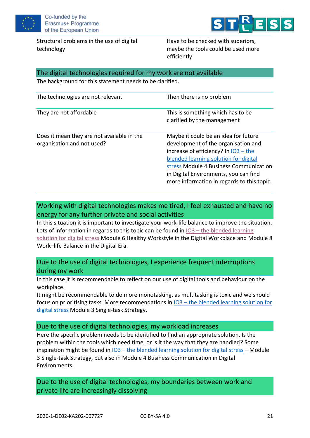

Structural problems in the use of digital technology



Have to be checked with superiors, maybe the tools could be used more efficiently

#### The digital technologies required for my work are not available

The background for this statement needs to be clarified.

| The technologies are not relevant                                        | Then there is no problem                                                                                                                                                                                                                                                                        |
|--------------------------------------------------------------------------|-------------------------------------------------------------------------------------------------------------------------------------------------------------------------------------------------------------------------------------------------------------------------------------------------|
| They are not affordable                                                  | This is something which has to be<br>clarified by the management                                                                                                                                                                                                                                |
| Does it mean they are not available in the<br>organisation and not used? | Maybe it could be an idea for future<br>development of the organisation and<br>increase of efficiency? In $103 -$ the<br>blended learning solution for digital<br>stress Module 4 Business Communication<br>in Digital Environments, you can find<br>more information in regards to this topic. |

# Working with digital technologies makes me tired, I feel exhausted and have no energy for any further private and social activities

In this situation it is important to investigate your work-life balance to improve the situation. Lots of information in regards to this topic can be found in  $103 -$  the blended learning [solution for digital stress](https://platform.stress-less-project.eu/) Module 6 Healthy Workstyle in the Digital Workplace and Module 8 Work–life Balance in the Digital Era.

Due to the use of digital technologies, I experience frequent interruptions during my work

In this case it is recommendable to reflect on our use of digital tools and behaviour on the workplace.

It might be recommendable to do more monotasking, as multitasking is toxic and we should focus on prioritising tasks. More recommendations in IO3 – [the blended learning solution for](https://platform.stress-less-project.eu/)  [digital stress](https://platform.stress-less-project.eu/) Module 3 Single-task Strategy.

#### Due to the use of digital technologies, my workload increases

Here the specific problem needs to be identified to find an appropriate solution. Is the problem within the tools which need time, or is it the way that they are handled? Some inspiration might be found in IO3 – [the blended learning solution for digital stress](https://platform.stress-less-project.eu/) – Module 3 Single-task Strategy, but also in Module 4 Business Communication in Digital Environments.

Due to the use of digital technologies, my boundaries between work and private life are increasingly dissolving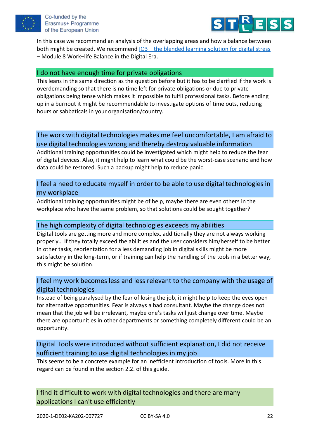



In this case we recommend an analysis of the overlapping areas and how a balance between both might be created. We recommend IO3 – [the blended learning solution for digital stress](https://platform.stress-less-project.eu/) – Module 8 Work–life Balance in the Digital Era.

#### I do not have enough time for private obligations

This leans in the same direction as the question before but it has to be clarified if the work is overdemanding so that there is no time left for private obligations or due to private obligations being tense which makes it impossible to fulfil professional tasks. Before ending up in a burnout it might be recommendable to investigate options of time outs, reducing hours or sabbaticals in your organisation/country.

# The work with digital technologies makes me feel uncomfortable, I am afraid to use digital technologies wrong and thereby destroy valuable information

Additional training opportunities could be investigated which might help to reduce the fear of digital devices. Also, it might help to learn what could be the worst-case scenario and how data could be restored. Such a backup might help to reduce panic.

## I feel a need to educate myself in order to be able to use digital technologies in my workplace

Additional training opportunities might be of help, maybe there are even others in the workplace who have the same problem, so that solutions could be sought together?

#### The high complexity of digital technologies exceeds my abilities

Digital tools are getting more and more complex, additionally they are not always working properly… If they totally exceed the abilities and the user considers him/herself to be better in other tasks, reorientation for a less demanding job in digital skills might be more satisfactory in the long-term, or if training can help the handling of the tools in a better way, this might be solution.

## I feel my work becomes less and less relevant to the company with the usage of digital technologies

Instead of being paralysed by the fear of losing the job, it might help to keep the eyes open for alternative opportunities. Fear is always a bad consultant. Maybe the change does not mean that the job will be irrelevant, maybe one's tasks will just change over time. Maybe there are opportunities in other departments or something completely different could be an opportunity.

Digital Tools were introduced without sufficient explanation, I did not receive sufficient training to use digital technologies in my job

This seems to be a concrete example for an inefficient introduction of tools. More in this regard can be found in the section 2.2. of this guide.

I find it difficult to work with digital technologies and there are many applications I can't use efficiently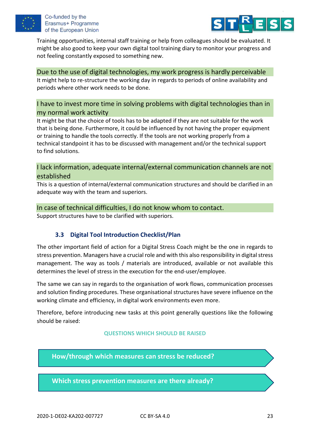



Training opportunities, internal staff training or help from colleagues should be evaluated. It might be also good to keep your own digital tool training diary to monitor your progress and not feeling constantly exposed to something new.

#### Due to the use of digital technologies, my work progress is hardly perceivable

It might help to re-structure the working day in regards to periods of online availability and periods where other work needs to be done.

## I have to invest more time in solving problems with digital technologies than in my normal work activity

It might be that the choice of tools has to be adapted if they are not suitable for the work that is being done. Furthermore, it could be influenced by not having the proper equipment or training to handle the tools correctly. If the tools are not working properly from a technical standpoint it has to be discussed with management and/or the technical support to find solutions.

I lack information, adequate internal/external communication channels are not established

This is a question of internal/external communication structures and should be clarified in an adequate way with the team and superiors.

#### In case of technical difficulties, I do not know whom to contact.

<span id="page-22-0"></span>Support structures have to be clarified with superiors.

## **3.3 Digital Tool Introduction Checklist/Plan**

The other important field of action for a Digital Stress Coach might be the one in regards to stress prevention. Managers have a crucial role and with this also responsibility in digital stress management. The way as tools / materials are introduced, available or not available this determines the level of stress in the execution for the end-user/employee.

The same we can say in regards to the organisation of work flows, communication processes and solution finding procedures. These organisational structures have severe influence on the working climate and efficiency, in digital work environments even more.

Therefore, before introducing new tasks at this point generally questions like the following should be raised:

#### **QUESTIONS WHICH SHOULD BE RAISED**

**How/through which measures can stress be reduced?**

**Which stress prevention measures are there already?**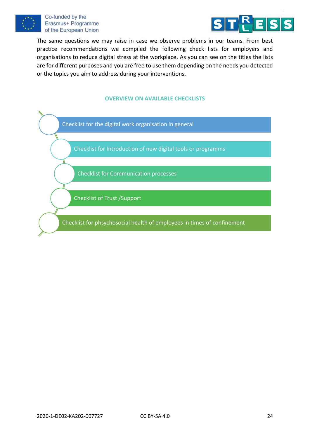



The same questions we may raise in case we observe problems in our teams. From best practice recommendations we compiled the following check lists for employers and organisations to reduce digital stress at the workplace. As you can see on the titles the lists are for different purposes and you are free to use them depending on the needs you detected or the topics you aim to address during your interventions.

#### **OVERVIEW ON AVAILABLE CHECKLISTS**



Checklist for Introduction of new digital tools or programms

Checklist for Communication processes

Checklist of Trust /Support

Checklist for phsychosocial health of employees in times of confinement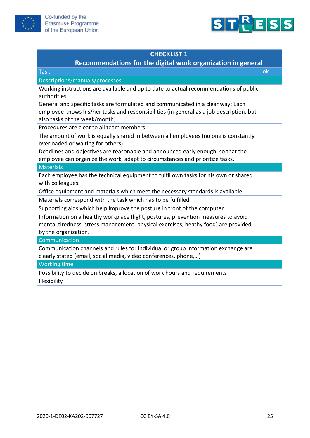



## **Recommendations for the digital work organization in general**

Task ok

Descriptions/manuals/processes

Working instructions are available and up to date to actual recommendations of public authorities

General and specific tasks are formulated and communicated in a clear way: Each employee knows his/her tasks and responsibilities (in general as a job description, but also tasks of the week/month)

Procedures are clear to all team members

The amount of work is equally shared in between all employees (no one is constantly overloaded or waiting for others)

Deadlines and objectives are reasonable and announced early enough, so that the employee can organize the work, adapt to circumstances and prioritize tasks.

#### **Materials**

Each employee has the technical equipment to fulfil own tasks for his own or shared with colleagues.

Office equipment and materials which meet the necessary standards is available

Materials correspond with the task which has to be fulfilled

Supporting aids which help improve the posture in front of the computer

Information on a healthy workplace (light, postures, prevention measures to avoid mental tiredness, stress management, physical exercises, heathy food) are provided by the organization.

**Communication** 

Communication channels and rules for individual or group information exchange are clearly stated (email, social media, video conferences, phone,…)

#### Working time

Possibility to decide on breaks, allocation of work hours and requirements Flexibility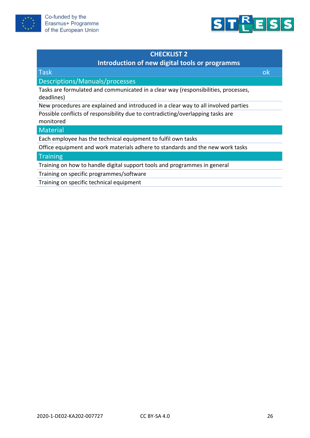



# **Introduction of new digital tools or programms**

| <b>Task</b>                                                                                                     | Οk |
|-----------------------------------------------------------------------------------------------------------------|----|
| Descriptions/Manuals/processes                                                                                  |    |
| Tasks are formulated and communicated in a clear way (responsibilities, processes,<br>deadlines)                |    |
| New procedures are explained and introduced in a clear way to all involved parties                              |    |
| Possible conflicts of responsibility due to contradicting/overlapping tasks are<br>monitored                    |    |
| <b>Material</b>                                                                                                 |    |
| Each employee has the technical equipment to fulfil own tasks                                                   |    |
| Office equipment and work materials adhere to standards and the new work tasks                                  |    |
| The contract of the contract of the contract of the contract of the contract of the contract of the contract of |    |

#### **Training**

Training on how to handle digital support tools and programmes in general

Training on specific programmes/software

Training on specific technical equipment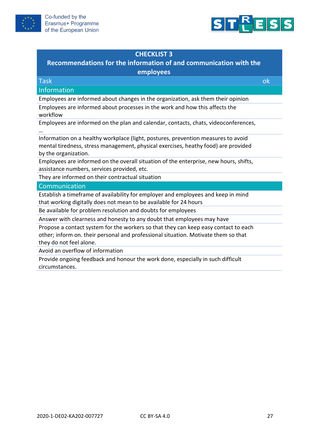



# **Recommendations for the information of and communication with the**

**employees**

| <b>Task</b>                                                                                                                                                               | ok |
|---------------------------------------------------------------------------------------------------------------------------------------------------------------------------|----|
| Information                                                                                                                                                               |    |
| Employees are informed about changes in the organization, ask them their opinion                                                                                          |    |
| Employees are informed about processes in the work and how this affects the<br>workflow                                                                                   |    |
| Employees are informed on the plan and calendar, contacts, chats, videoconferences,                                                                                       |    |
| Information on a healthy workplace (light, postures, prevention measures to avoid                                                                                         |    |
| mental tiredness, stress management, physical exercises, heathy food) are provided                                                                                        |    |
| by the organization.                                                                                                                                                      |    |
| Employees are informed on the overall situation of the enterprise, new hours, shifts,                                                                                     |    |
| assistance numbers, services provided, etc.                                                                                                                               |    |
| They are informed on their contractual situation                                                                                                                          |    |
| Communication                                                                                                                                                             |    |
| Establish a timeframe of availability for employer and employees and keep in mind                                                                                         |    |
| that working digitally does not mean to be available for 24 hours                                                                                                         |    |
| Be available for problem resolution and doubts for employees                                                                                                              |    |
| Answer with clearness and honesty to any doubt that employees may have                                                                                                    |    |
| Propose a contact system for the workers so that they can keep easy contact to each<br>other; inform on. their personal and professional situation. Motivate them so that |    |

they do not feel alone.

Avoid an overflow of information

Provide ongoing feedback and honour the work done, especially in such difficult circumstances.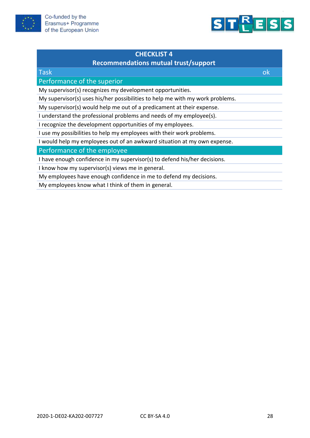



# **Recommendations mutual trust/support**

| <b>Task</b>                                                                   | 0k |
|-------------------------------------------------------------------------------|----|
| Performance of the superior                                                   |    |
| My supervisor(s) recognizes my development opportunities.                     |    |
| My supervisor(s) uses his/her possibilities to help me with my work problems. |    |
| My supervisor(s) would help me out of a predicament at their expense.         |    |
| I understand the professional problems and needs of my employee(s).           |    |
| I recognize the development opportunities of my employees.                    |    |
| I use my possibilities to help my employees with their work problems.         |    |
| I would help my employees out of an awkward situation at my own expense.      |    |
| Performance of the employee                                                   |    |
| I have enough confidence in my supervisor(s) to defend his/her decisions.     |    |
| I know how my supervisor(s) views me in general.                              |    |
| My employees have enough confidence in me to defend my decisions.             |    |
| My employees know what I think of them in general.                            |    |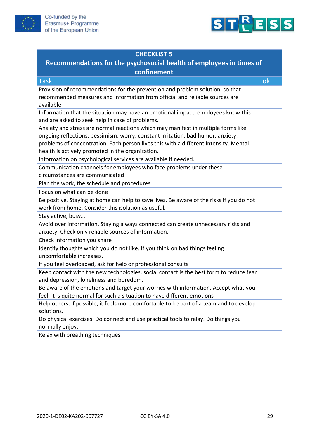



# **Recommendations for the psychosocial health of employees in times of confinement**

| <b>Task</b>                                                                                                                         | ok |
|-------------------------------------------------------------------------------------------------------------------------------------|----|
| Provision of recommendations for the prevention and problem solution, so that                                                       |    |
| recommended measures and information from official and reliable sources are<br>available                                            |    |
| Information that the situation may have an emotional impact, employees know this<br>and are asked to seek help in case of problems. |    |
| Anxiety and stress are normal reactions which may manifest in multiple forms like                                                   |    |
| ongoing reflections, pessimism, worry, constant irritation, bad humor, anxiety,                                                     |    |
| problems of concentration. Each person lives this with a different intensity. Mental                                                |    |
| health is actively promoted in the organization.                                                                                    |    |
| Information on psychological services are available if needed.                                                                      |    |
| Communication channels for employees who face problems under these                                                                  |    |
| circumstances are communicated                                                                                                      |    |
| Plan the work, the schedule and procedures                                                                                          |    |
| Focus on what can be done                                                                                                           |    |
| Be positive. Staying at home can help to save lives. Be aware of the risks if you do not                                            |    |
| work from home. Consider this isolation as useful.                                                                                  |    |
| Stay active, busy                                                                                                                   |    |
| Avoid over information. Staying always connected can create unnecessary risks and                                                   |    |
| anxiety. Check only reliable sources of information.                                                                                |    |
| Check information you share                                                                                                         |    |
| Identify thoughts which you do not like. If you think on bad things feeling                                                         |    |
| uncomfortable increases.                                                                                                            |    |
| If you feel overloaded, ask for help or professional consults                                                                       |    |
| Keep contact with the new technologies, social contact is the best form to reduce fear                                              |    |
| and depression, loneliness and boredom.                                                                                             |    |
| Be aware of the emotions and target your worries with information. Accept what you                                                  |    |
| feel, it is quite normal for such a situation to have different emotions                                                            |    |
| Help others, if possible, it feels more comfortable to be part of a team and to develop                                             |    |
| solutions.                                                                                                                          |    |
| Do physical exercises. Do connect and use practical tools to relay. Do things you                                                   |    |
| normally enjoy.                                                                                                                     |    |
| Relax with breathing techniques                                                                                                     |    |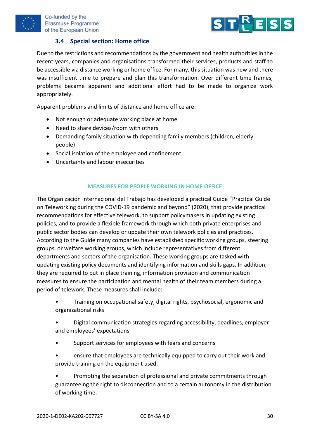



### **3.4 Special section: Home office**

<span id="page-29-0"></span>Due to the restrictions and recommendations by the government and health authorities in the recent years, companies and organisations transformed their services, products and staff to be accessible via distance working or home office. For many, this situation was new and there was insufficient time to prepare and plan this transformation. Over different time frames, problems became apparent and additional effort had to be made to organize work appropriately.

Apparent problems and limits of distance and home office are:

- Not enough or adequate working place at home
- Need to share devices/room with others
- Demanding family situation with depending family members (children, elderly people)
- Social isolation of the employee and confinement
- Uncertainty and labour insecurities

#### **MEASURES FOR PEOPLE WORKING IN HOME OFFICE**

The Organización Internacional del Trabajo has developed a practical Guide "Pracitcal Guide on Teleworking during the COVID-19 pandemic and beyond" (2020), that provide practical recommendations for effective telework, to support policymakers in updating existing policies, and to provide a flexible framework through which both private enterprises and public sector bodies can develop or update their own telework policies and practices. According to the Guide many companies have established specific working groups, steering groups, or welfare working groups, which include representatives from different departments and sectors of the organisation. These working groups are tasked with updating existing policy documents and identifying information and skills gaps. In addition, they are required to put in place training, information provision and communication measures to ensure the participation and mental health of their team members during a period of telework. These measures shall include:

- Training on occupational safety, digital rights, psychosocial, ergonomic and organizational risks
- Digital communication strategies regarding accessibility, deadlines, employer and employees' expectations
- Support services for employees with fears and concerns
- ensure that employees are technically equipped to carry out their work and provide training on the equipment used.

• Promoting the separation of professional and private commitments through guaranteeing the right to disconnection and to a certain autonomy in the distribution of working time.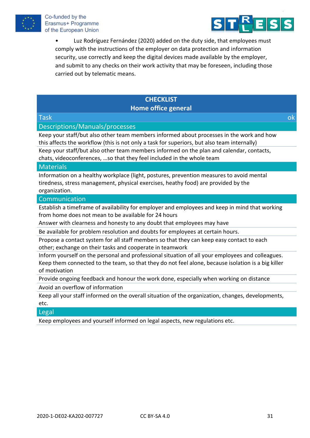



• Luz Rodríguez Fernández (2020) added on the duty side, that employees must comply with the instructions of the employer on data protection and information security, use correctly and keep the digital devices made available by the employer, and submit to any checks on their work activity that may be foreseen, including those carried out by telematic means.

## **CHECKLIST Home office general**

### Task ok

#### Descriptions/Manuals/processes

Keep your staff/but also other team members informed about processes in the work and how this affects the workflow (this is not only a task for superiors, but also team internally)

Keep your staff/but also other team members informed on the plan and calendar, contacts, chats, videoconferences, …so that they feel included in the whole team

#### **Materials**

Information on a healthy workplace (light, postures, prevention measures to avoid mental tiredness, stress management, physical exercises, heathy food) are provided by the organization.

#### Communication

Establish a timeframe of availability for employer and employees and keep in mind that working from home does not mean to be available for 24 hours

Answer with clearness and honesty to any doubt that employees may have

Be available for problem resolution and doubts for employees at certain hours.

Propose a contact system for all staff members so that they can keep easy contact to each other; exchange on their tasks and cooperate in teamwork

Inform yourself on the personal and professional situation of all your employees and colleagues. Keep them connected to the team, so that they do not feel alone, because isolation is a big killer of motivation

Provide ongoing feedback and honour the work done, especially when working on distance Avoid an overflow of information

Keep all your staff informed on the overall situation of the organization, changes, developments, etc.

#### Legal

Keep employees and yourself informed on legal aspects, new regulations etc.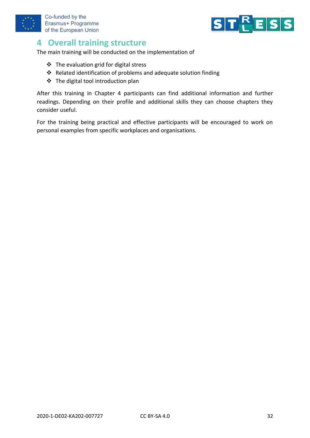



# <span id="page-31-0"></span>**4 Overall training structure**

The main training will be conducted on the implementation of

- ❖ The evaluation grid for digital stress
- ❖ Related identification of problems and adequate solution finding
- ❖ The digital tool introduction plan

After this training in Chapter 4 participants can find additional information and further readings. Depending on their profile and additional skills they can choose chapters they consider useful.

For the training being practical and effective participants will be encouraged to work on personal examples from specific workplaces and organisations.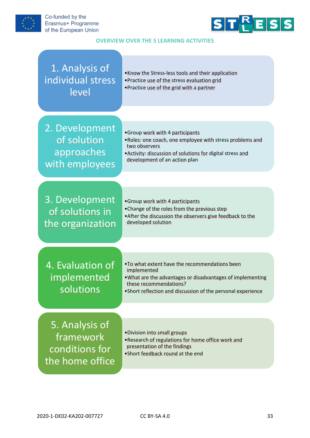



#### **OVERVIEW OVER THE 5 LEARNING ACTIVITIES**

| 1. Analysis of<br>individual stress<br>level                     | . Know the Stress-less tools and their application<br>• Practice use of the stress evaluation grid<br>• Practice use of the grid with a partner                                                                       |
|------------------------------------------------------------------|-----------------------------------------------------------------------------------------------------------------------------------------------------------------------------------------------------------------------|
|                                                                  |                                                                                                                                                                                                                       |
| 2. Development<br>of solution<br>approaches<br>with employees    | •Group work with 4 participants<br>. Roles: one coach, one employee with stress problems and<br>two observers<br>. Activity: discussion of solutions for digital stress and<br>development of an action plan          |
|                                                                  |                                                                                                                                                                                                                       |
| 3. Development<br>of solutions in<br>the organization            | •Group work with 4 participants<br>• Change of the roles from the previous step<br>. After the discussion the observers give feedback to the<br>developed solution                                                    |
|                                                                  |                                                                                                                                                                                                                       |
| 4. Evaluation of<br>implemented<br>solutions                     | . To what extent have the recommendations been<br>implemented<br>. What are the advantages or disadvantages of implementing<br>these recommendations?<br>. Short reflection and discussion of the personal experience |
|                                                                  |                                                                                                                                                                                                                       |
| 5. Analysis of<br>framework<br>conditions for<br>the home office | . Division into small groups<br>. Research of regulations for home office work and<br>presentation of the findings<br>•Short feedback round at the end                                                                |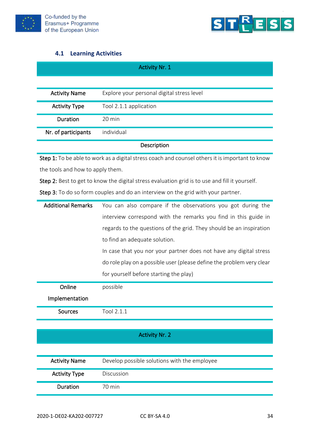



## **4.1 Learning Activities**

<span id="page-33-0"></span>

| <b>Activity Nr. 1</b> |                                            |
|-----------------------|--------------------------------------------|
|                       |                                            |
| <b>Activity Name</b>  | Explore your personal digital stress level |
| <b>Activity Type</b>  | Tool 2.1.1 application                     |
| Duration              | 20 min                                     |
| Nr. of participants   | individual                                 |
| Description           |                                            |

Description

Step 1: To be able to work as a digital stress coach and counsel others it is important to know the tools and how to apply them.

Step 2: Best to get to know the digital stress evaluation grid is to use and fill it yourself.

Step 3: To do so form couples and do an interview on the grid with your partner.

| <b>Additional Remarks</b> | You can also compare if the observations you got during the           |
|---------------------------|-----------------------------------------------------------------------|
|                           | interview correspond with the remarks you find in this guide in       |
|                           | regards to the questions of the grid. They should be an inspiration   |
|                           | to find an adequate solution.                                         |
|                           | In case that you nor your partner does not have any digital stress    |
|                           | do role play on a possible user (please define the problem very clear |
|                           | for yourself before starting the play)                                |
| Online                    | possible                                                              |
| Implementation            |                                                                       |
| <b>Sources</b>            | Tool 2.1.1                                                            |
|                           |                                                                       |
|                           | <b>Activity Nr. 2</b>                                                 |
|                           |                                                                       |
| <b>Activity Name</b>      | Develop possible solutions with the employee                          |
| <b>Activity Type</b>      | Discussion                                                            |
| Duration                  | 70 min                                                                |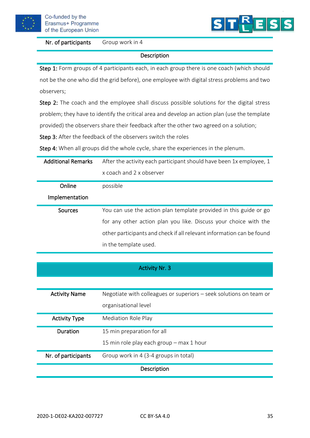

Nr. of participants Group work in 4



#### Description

Step 1: Form groups of 4 participants each, in each group there is one coach (which should not be the one who did the grid before), one employee with digital stress problems and two observers;

Step 2: The coach and the employee shall discuss possible solutions for the digital stress problem; they have to identify the critical area and develop an action plan (use the template provided) the observers share their feedback after the other two agreed on a solution;

Step 3: After the feedback of the observers switch the roles

Step 4: When all groups did the whole cycle, share the experiences in the plenum.

| <b>Additional Remarks</b> | After the activity each participant should have been 1x employee, 1   |
|---------------------------|-----------------------------------------------------------------------|
|                           | x coach and 2 x observer                                              |
| Online                    | possible                                                              |
| Implementation            |                                                                       |
| Sources                   | You can use the action plan template provided in this guide or go     |
|                           | for any other action plan you like. Discuss your choice with the      |
|                           | other participants and check if all relevant information can be found |
|                           | in the template used.                                                 |

|                      | <b>Activity Nr. 3</b>                                                                      |
|----------------------|--------------------------------------------------------------------------------------------|
|                      |                                                                                            |
| <b>Activity Name</b> | Negotiate with colleagues or superiors - seek solutions on team or<br>organisational level |
| <b>Activity Type</b> | <b>Mediation Role Play</b>                                                                 |
| Duration             | 15 min preparation for all                                                                 |

15 min role play each group – max 1 hour Nr. of participants Group work in 4 (3-4 groups in total)

#### Description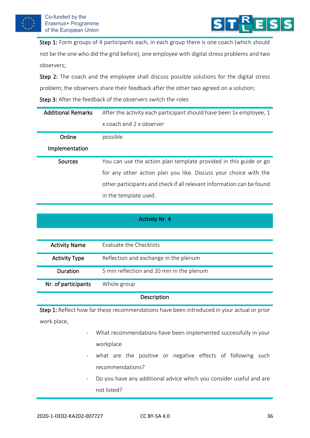



Step 1: Form groups of 4 participants each, in each group there is one coach (which should not be the one who did the grid before), one employee with digital stress problems and two observers;

Step 2: The coach and the employee shall discuss possible solutions for the digital stress problem; the observers share their feedback after the other two agreed on a solution; Step 3: After the feedback of the observers switch the roles

| <b>Additional Remarks</b> | After the activity each participant should have been 1x employee, 1   |  |
|---------------------------|-----------------------------------------------------------------------|--|
|                           | x coach and 2 x observer                                              |  |
| Online                    | possible                                                              |  |
| Implementation            |                                                                       |  |
| Sources                   | You can use the action plan template provided in this guide or go     |  |
|                           | for any other action plan you like. Discuss your choice with the      |  |
|                           | other participants and check if all relevant information can be found |  |
|                           | in the template used.                                                 |  |

#### Activity Nr. 4

| <b>Activity Name</b> | Evaluate the Checklists                   |
|----------------------|-------------------------------------------|
| <b>Activity Type</b> | Reflection and exchange in the plenum     |
| Duration             | 5 min reflection and 20 min in the plenum |
| Nr. of participants  | Whole group                               |

**Description** 

Step 1: Reflect how far these recommendations have been introduced in your actual or prior work place,

- What recommendations have been implemented successfully in your workplace
- what are the positive or negative effects of following such recommendations?
- Do you have any additional advice which you consider useful and are not listed?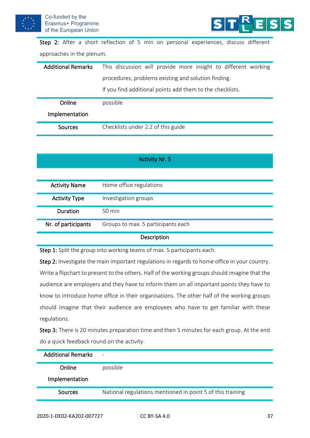



Step 2: After a short reflection of 5 min on personal experiences, discuss different approaches in the plenum.

| <b>Additional Remarks</b> | This discussion will provide more insight to different working |  |
|---------------------------|----------------------------------------------------------------|--|
|                           | procedures, problems existing and solution finding.            |  |
|                           | If you find additional points add them to the checklists.      |  |
| Online                    | possible                                                       |  |
| Implementation            |                                                                |  |
| Sources                   | Checklists under 2.2 of this guide                             |  |

| <b>Activity Nr. 5</b> |  |
|-----------------------|--|
|-----------------------|--|

| <b>Activity Name</b> | Home office regulations            |
|----------------------|------------------------------------|
| <b>Activity Type</b> | Investigation groups               |
| Duration             | $50 \text{ min}$                   |
| Nr. of participants  | Groups to max. 5 participants each |

#### **Description**

Step 1: Split the group into working teams of max. 5 participants each.

Step 2: Investigate the main important regulations in regards to home office in your country. Write a flipchart to present to the others. Half of the working groups should imagine that the audience are employers and they have to inform them on all important points they have to know to introduce home office in their organisations. The other half of the working groups should imagine that their audience are employees who have to get familiar with these regulations.

Step 3: There is 20 minutes preparation time and then 5 minutes for each group. At the end do a quick feedback round on the activity.

| <b>Additional Remarks</b> | $\qquad \qquad$                                            |
|---------------------------|------------------------------------------------------------|
| Online                    | possible                                                   |
| Implementation            |                                                            |
| Sources                   | National regulations mentioned in point 5 of this training |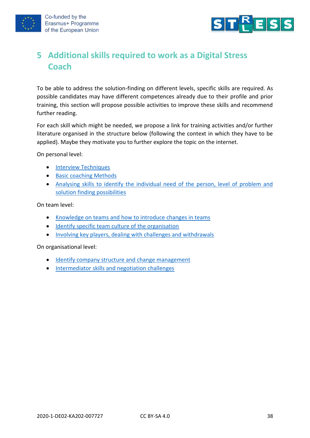



# <span id="page-37-0"></span>**5 Additional skills required to work as a Digital Stress Coach**

To be able to address the solution-finding on different levels, specific skills are required. As possible candidates may have different competences already due to their profile and prior training, this section will propose possible activities to improve these skills and recommend further reading.

For each skill which might be needed, we propose a link for training activities and/or further literature organised in the structure below (following the context in which they have to be applied). Maybe they motivate you to further explore the topic on the internet.

On personal level:

- [Interview Techniques](https://www.youtube.com/watch?v=ZTwaDum7_qE)
- [Basic coaching Methods](https://www.youtube.com/watch?v=628AGudM17s)
- [Analysing skills to identify the individual need of the person, level of problem and](https://www.youtube.com/watch?v=Cm5ukdquISE)  [solution finding possibilities](https://www.youtube.com/watch?v=Cm5ukdquISE)

On team level:

- [Knowledge on teams and how to introduce changes in teams](https://www.youtube.com/watch?v=l6vPvCtIcJM)
- [Identify specific team culture of the organisation](https://www.youtube.com/watch?v=aVM6vfgbgrA)
- [Involving key players, dealing with challenges and withdrawals](https://inspireleaders.com.ph/blog/characteristics-key-players-organization)

On organisational level:

- [Identify company structure and change management](https://www.youtube.com/watch?v=k69i_yAhEcQ)
- [Intermediator skills and negotiation challenges](https://www.youtube.com/watch?v=RfTalFEeKKE)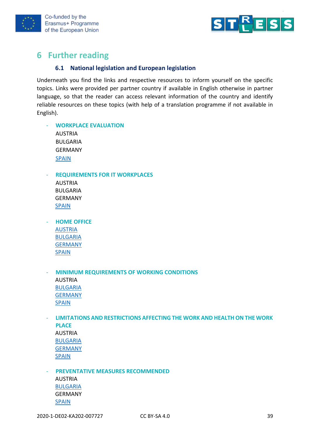



# <span id="page-38-1"></span><span id="page-38-0"></span>**6 Further reading**

#### **6.1 National legislation and European legislation**

Underneath you find the links and respective resources to inform yourself on the specific topics. Links were provided per partner country if available in English otherwise in partner language, so that the reader can access relevant information of the country and identify reliable resources on these topics (with help of a translation programme if not available in English).

- **WORKPLACE EVALUATION** AUSTRIA BULGARIA GERMANY [SPAIN](https://prevencion.asepeyo.es/wp-content/uploads/R2E17050-Listas-autoevaluaci%C3%B3n.-Lugares-de-trabajo.-Control-del-riesgo_Asepeyo.pdf)

- **REQUIREMENTS FOR IT WORKPLACES**

- AUSTRIA BULGARIA GERMANY [SPAIN](https://elderecho.com/derechos-laborales-en-la-nueva-lopd)
- **HOME OFFICE** [AUSTRIA](https://www.wko.at/service/arbeitsrecht-sozialrecht/homeoffice-die-kuenftigen-regelungen.html) [BULGARIA](https://www.lex.bg/laws/ldoc/1594373121) [GERMANY](file:///C:/Users/angelapittl/Documents/CIS/Proyectos/Stessless/IOs/IO4/Legal%20framework%20for%20Working%20from%20Home:%20https:/www.pfalz.ihk24.de/recht/arbeitsrecht/spezielle-beschaeftigungsverhaeltnisse/homeoffice-4921780) [SPAIN](https://www.boe.es/buscar/pdf/2020/BOE-A-2020-11043-consolidado.pdf)
- **MINIMUM REQUIREMENTS OF WORKING CONDITIONS** AUSTRIA [BULGARIA](https://www.lex.bg/laws/ldoc/2135509298) [GERMANY](https://dejure.org/gesetze/ArbSchG/5.html) [SPAIN](https://www.boe.es/buscar/pdf/1997/BOE-A-1997-8669-consolidado.pdf)
- **LIMITATIONS AND RESTRICTIONS AFFECTING THE WORK AND HEALTH ON THE WORK PLACE** AUSTRIA [BULGARIA](https://www.lex.bg/laws/ldoc/-549687807) [GERMANY](https://www.gesetze-im-internet.de/arbzg/BJNR117100994.html) [SPAIN](https://www.sanidad.gob.es/ciudadanos/saludAmbLaboral/saludLaboral/normativa.htm)

**PREVENTATIVE MEASURES RECOMMENDED** AUSTRIA [BULGARIA](https://lex.bg/laws/ldoc/-552858623) GERMANY [SPAIN](https://www.boe.es/buscar/pdf/1995/BOE-A-1995-24292-consolidado.pdf)